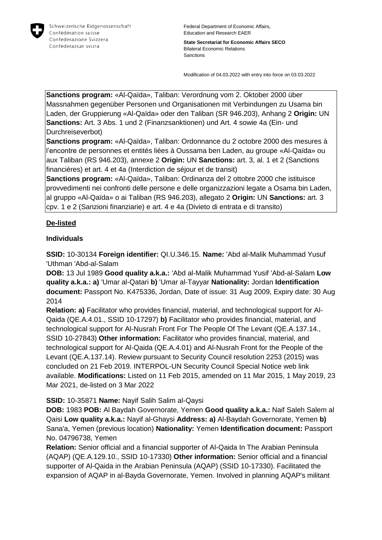

**State Secretariat for Economic Affairs SECO** Bilateral Economic Relations **Sanctions** 

Modification of 04.03.2022 with entry into force on 03.03.2022

**Sanctions program:** «Al-Qaïda», Taliban: Verordnung vom 2. Oktober 2000 über Massnahmen gegenüber Personen und Organisationen mit Verbindungen zu Usama bin Laden, der Gruppierung «Al-Qaïda» oder den Taliban (SR 946.203), Anhang 2 **Origin:** UN **Sanctions:** Art. 3 Abs. 1 und 2 (Finanzsanktionen) und Art. 4 sowie 4a (Ein- und Durchreiseverbot)

**Sanctions program:** «Al-Qaïda», Taliban: Ordonnance du 2 octobre 2000 des mesures à l'encontre de personnes et entités liées à Oussama ben Laden, au groupe «Al-Qaïda» ou aux Taliban (RS 946.203), annexe 2 **Origin:** UN **Sanctions:** art. 3, al. 1 et 2 (Sanctions financières) et art. 4 et 4a (Interdiction de séjour et de transit)

**Sanctions program:** «Al-Qaïda», Taliban: Ordinanza del 2 ottobre 2000 che istituisce provvedimenti nei confronti delle persone e delle organizzazioni legate a Osama bin Laden, al gruppo «Al-Qaïda» o ai Taliban (RS 946.203), allegato 2 **Origin:** UN **Sanctions:** art. 3 cpv. 1 e 2 (Sanzioni finanziarie) e art. 4 e 4a (Divieto di entrata e di transito)

## **De-listed**

## **Individuals**

**SSID:** 10-30134 **Foreign identifier:** QI.U.346.15. **Name:** 'Abd al-Malik Muhammad Yusuf 'Uthman 'Abd-al-Salam

**DOB:** 13 Jul 1989 **Good quality a.k.a.:** 'Abd al-Malik Muhammad Yusif 'Abd-al-Salam **Low quality a.k.a.: a)** 'Umar al-Qatari **b)** 'Umar al-Tayyar **Nationality:** Jordan **Identification document:** Passport No. K475336, Jordan, Date of issue: 31 Aug 2009, Expiry date: 30 Aug 2014

**Relation: a)** Facilitator who provides financial, material, and technological support for Al-Qaida (QE.A.4.01., SSID 10-17297) **b)** Facilitator who provides financial, material, and technological support for Al-Nusrah Front For The People Of The Levant (QE.A.137.14., SSID 10-27843) **Other information:** Facilitator who provides financial, material, and technological support for Al-Qaida (QE.A.4.01) and Al-Nusrah Front for the People of the Levant (QE.A.137.14). Review pursuant to Security Council resolution 2253 (2015) was concluded on 21 Feb 2019. INTERPOL-UN Security Council Special Notice web link available. **Modifications:** Listed on 11 Feb 2015, amended on 11 Mar 2015, 1 May 2019, 23 Mar 2021, de-listed on 3 Mar 2022

## **SSID:** 10-35871 **Name:** Nayif Salih Salim al-Qaysi

**DOB:** 1983 **POB:** Al Baydah Governorate, Yemen **Good quality a.k.a.:** Naif Saleh Salem al Qaisi **Low quality a.k.a.:** Nayif al-Ghaysi **Address: a)** Al-Baydah Governorate, Yemen **b)**  Sana'a, Yemen (previous location) **Nationality:** Yemen **Identification document:** Passport No. 04796738, Yemen

**Relation:** Senior official and a financial supporter of Al-Qaida In The Arabian Peninsula (AQAP) (QE.A.129.10., SSID 10-17330) **Other information:** Senior official and a financial supporter of Al-Qaida in the Arabian Peninsula (AQAP) (SSID 10-17330). Facilitated the expansion of AQAP in al-Bayda Governorate, Yemen. Involved in planning AQAP's militant